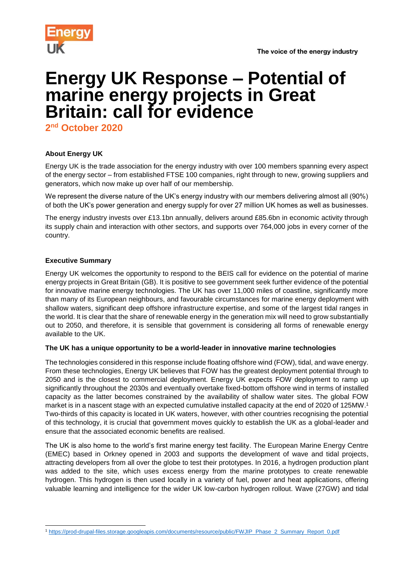

# **Energy UK Response – Potential of marine energy projects in Great Britain: call for evidence**

**2 nd October 2020**

# **About Energy UK**

Energy UK is the trade association for the energy industry with over 100 members spanning every aspect of the energy sector – from established FTSE 100 companies, right through to new, growing suppliers and generators, which now make up over half of our membership.

We represent the diverse nature of the UK's energy industry with our members delivering almost all (90%) of both the UK's power generation and energy supply for over 27 million UK homes as well as businesses.

The energy industry invests over £13.1bn annually, delivers around £85.6bn in economic activity through its supply chain and interaction with other sectors, and supports over 764,000 jobs in every corner of the country.

## **Executive Summary**

l

Energy UK welcomes the opportunity to respond to the BEIS call for evidence on the potential of marine energy projects in Great Britain (GB). It is positive to see government seek further evidence of the potential for innovative marine energy technologies. The UK has over 11,000 miles of coastline, significantly more than many of its European neighbours, and favourable circumstances for marine energy deployment with shallow waters, significant deep offshore infrastructure expertise, and some of the largest tidal ranges in the world. It is clear that the share of renewable energy in the generation mix will need to grow substantially out to 2050, and therefore, it is sensible that government is considering all forms of renewable energy available to the UK.

## **The UK has a unique opportunity to be a world-leader in innovative marine technologies**

The technologies considered in this response include floating offshore wind (FOW), tidal, and wave energy. From these technologies, Energy UK believes that FOW has the greatest deployment potential through to 2050 and is the closest to commercial deployment. Energy UK expects FOW deployment to ramp up significantly throughout the 2030s and eventually overtake fixed-bottom offshore wind in terms of installed capacity as the latter becomes constrained by the availability of shallow water sites. The global FOW market is in a nascent stage with an expected cumulative installed capacity at the end of 2020 of 125MW.<sup>1</sup> Two-thirds of this capacity is located in UK waters, however, with other countries recognising the potential of this technology, it is crucial that government moves quickly to establish the UK as a global-leader and ensure that the associated economic benefits are realised.

The UK is also home to the world's first marine energy test facility. The European Marine Energy Centre (EMEC) based in Orkney opened in 2003 and supports the development of wave and tidal projects, attracting developers from all over the globe to test their prototypes. In 2016, a hydrogen production plant was added to the site, which uses excess energy from the marine prototypes to create renewable hydrogen. This hydrogen is then used locally in a variety of fuel, power and heat applications, offering valuable learning and intelligence for the wider UK low-carbon hydrogen rollout. Wave (27GW) and tidal

<sup>1</sup> [https://prod-drupal-files.storage.googleapis.com/documents/resource/public/FWJIP\\_Phase\\_2\\_Summary\\_Report\\_0.pdf](https://prod-drupal-files.storage.googleapis.com/documents/resource/public/FWJIP_Phase_2_Summary_Report_0.pdf)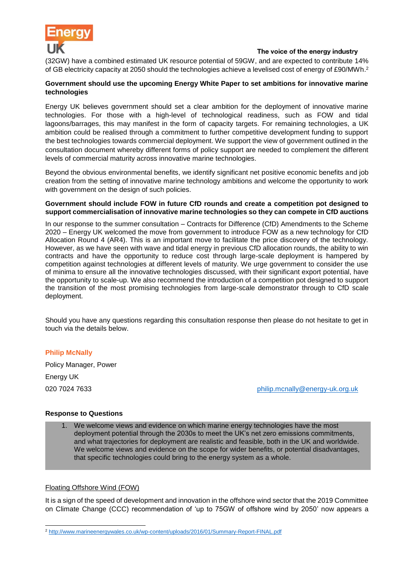

(32GW) have a combined estimated UK resource potential of 59GW, and are expected to contribute 14% of GB electricity capacity at 2050 should the technologies achieve a levelised cost of energy of £90/MWh. 2

## **Government should use the upcoming Energy White Paper to set ambitions for innovative marine technologies**

Energy UK believes government should set a clear ambition for the deployment of innovative marine technologies. For those with a high-level of technological readiness, such as FOW and tidal lagoons/barrages, this may manifest in the form of capacity targets. For remaining technologies, a UK ambition could be realised through a commitment to further competitive development funding to support the best technologies towards commercial deployment. We support the view of government outlined in the consultation document whereby different forms of policy support are needed to complement the different levels of commercial maturity across innovative marine technologies.

Beyond the obvious environmental benefits, we identify significant net positive economic benefits and job creation from the setting of innovative marine technology ambitions and welcome the opportunity to work with government on the design of such policies.

#### **Government should include FOW in future CfD rounds and create a competition pot designed to support commercialisation of innovative marine technologies so they can compete in CfD auctions**

In our response to the summer consultation – Contracts for Difference (CfD) Amendments to the Scheme 2020 – Energy UK welcomed the move from government to introduce FOW as a new technology for CfD Allocation Round 4 (AR4). This is an important move to facilitate the price discovery of the technology. However, as we have seen with wave and tidal energy in previous CfD allocation rounds, the ability to win contracts and have the opportunity to reduce cost through large-scale deployment is hampered by competition against technologies at different levels of maturity. We urge government to consider the use of minima to ensure all the innovative technologies discussed, with their significant export potential, have the opportunity to scale-up. We also recommend the introduction of a competition pot designed to support the transition of the most promising technologies from large-scale demonstrator through to CfD scale deployment.

Should you have any questions regarding this consultation response then please do not hesitate to get in touch via the details below.

## **Philip McNally**

Policy Manager, Power Energy UK

020 7024 7633 [philip.mcnally@energy-uk.org.uk](mailto:philip.mcnally@energy-uk.org.uk)

#### **Response to Questions**

1. We welcome views and evidence on which marine energy technologies have the most deployment potential through the 2030s to meet the UK's net zero emissions commitments, and what trajectories for deployment are realistic and feasible, both in the UK and worldwide. We welcome views and evidence on the scope for wider benefits, or potential disadvantages, that specific technologies could bring to the energy system as a whole.

#### Floating Offshore Wind (FOW)

l

It is a sign of the speed of development and innovation in the offshore wind sector that the 2019 Committee on Climate Change (CCC) recommendation of 'up to 75GW of offshore wind by 2050' now appears a

<sup>2</sup> <http://www.marineenergywales.co.uk/wp-content/uploads/2016/01/Summary-Report-FINAL.pdf>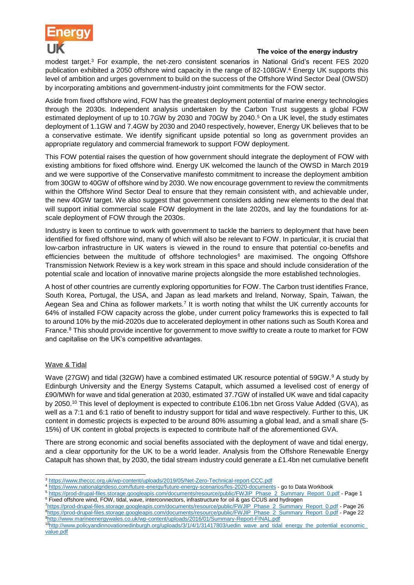

modest target. <sup>3</sup> For example, the net-zero consistent scenarios in National Grid's recent FES 2020 publication exhibited a 2050 offshore wind capacity in the range of 82-108GW. <sup>4</sup> Energy UK supports this level of ambition and urges government to build on the success of the Offshore Wind Sector Deal (OWSD) by incorporating ambitions and government-industry joint commitments for the FOW sector.

Aside from fixed offshore wind, FOW has the greatest deployment potential of marine energy technologies through the 2030s. Independent analysis undertaken by the Carbon Trust suggests a global FOW estimated deployment of up to 10.7GW by 2030 and 70GW by 2040.<sup>5</sup> On a UK level, the study estimates deployment of 1.1GW and 7.4GW by 2030 and 2040 respectively, however, Energy UK believes that to be a conservative estimate. We identify significant upside potential so long as government provides an appropriate regulatory and commercial framework to support FOW deployment.

This FOW potential raises the question of how government should integrate the deployment of FOW with existing ambitions for fixed offshore wind. Energy UK welcomed the launch of the OWSD in March 2019 and we were supportive of the Conservative manifesto commitment to increase the deployment ambition from 30GW to 40GW of offshore wind by 2030. We now encourage government to review the commitments within the Offshore Wind Sector Deal to ensure that they remain consistent with, and achievable under, the new 40GW target. We also suggest that government considers adding new elements to the deal that will support initial commercial scale FOW deployment in the late 2020s, and lay the foundations for atscale deployment of FOW through the 2030s.

Industry is keen to continue to work with government to tackle the barriers to deployment that have been identified for fixed offshore wind, many of which will also be relevant to FOW. In particular, it is crucial that low-carbon infrastructure in UK waters is viewed in the round to ensure that potential co-benefits and efficiencies between the multitude of offshore technologies<sup>6</sup> are maximised. The ongoing Offshore Transmission Network Review is a key work stream in this space and should include consideration of the potential scale and location of innovative marine projects alongside the more established technologies.

A host of other countries are currently exploring opportunities for FOW. The Carbon trust identifies France, South Korea, Portugal, the USA, and Japan as lead markets and Ireland, Norway, Spain, Taiwan, the Aegean Sea and China as follower markets.<sup>7</sup> It is worth noting that whilst the UK currently accounts for 64% of installed FOW capacity across the globe, under current policy frameworks this is expected to fall to around 10% by the mid-2020s due to accelerated deployment in other nations such as South Korea and France.<sup>8</sup> This should provide incentive for government to move swiftly to create a route to market for FOW and capitalise on the UK's competitive advantages.

# Wave & Tidal

Wave (27GW) and tidal (32GW) have a combined estimated UK resource potential of 59GW.<sup>9</sup> A study by Edinburgh University and the Energy Systems Catapult, which assumed a levelised cost of energy of £90/MWh for wave and tidal generation at 2030, estimated 37.7GW of installed UK wave and tidal capacity by 2050.<sup>10</sup> This level of deployment is expected to contribute £106.1bn net Gross Value Added (GVA), as well as a 7:1 and 6:1 ratio of benefit to industry support for tidal and wave respectively. Further to this, UK content in domestic projects is expected to be around 80% assuming a global lead, and a small share (5- 15%) of UK content in global projects is expected to contribute half of the aforementioned GVA.

There are strong economic and social benefits associated with the deployment of wave and tidal energy, and a clear opportunity for the UK to be a world leader. Analysis from the Offshore Renewable Energy Catapult has shown that, by 2030, the tidal stream industry could generate a £1.4bn net cumulative benefit

l <sup>3</sup> <https://www.theccc.org.uk/wp-content/uploads/2019/05/Net-Zero-Technical-report-CCC.pdf>

<sup>4</sup> <https://www.nationalgrideso.com/future-energy/future-energy-scenarios/fes-2020-documents> - go to Data Workbook

<sup>5</sup> [https://prod-drupal-files.storage.googleapis.com/documents/resource/public/FWJIP\\_Phase\\_2\\_Summary\\_Report\\_0.pdf](https://prod-drupal-files.storage.googleapis.com/documents/resource/public/FWJIP_Phase_2_Summary_Report_0.pdf) - Page 1 <sup>6</sup> Fixed offshore wind, FOW, tidal, wave, interconnectors, infrastructure for oil & gas CCUS and hydrogen

<sup>7</sup>[https://prod-drupal-files.storage.googleapis.com/documents/resource/public/FWJIP\\_Phase\\_2\\_Summary\\_Report\\_0.pdf](https://prod-drupal-files.storage.googleapis.com/documents/resource/public/FWJIP_Phase_2_Summary_Report_0.pdf) - Page 26 <sup>8</sup>[https://prod-drupal-files.storage.googleapis.com/documents/resource/public/FWJIP\\_Phase\\_2\\_Summary\\_Report\\_0.pdf](https://prod-drupal-files.storage.googleapis.com/documents/resource/public/FWJIP_Phase_2_Summary_Report_0.pdf) - Page 22 <sup>9</sup><http://www.marineenergywales.co.uk/wp-content/uploads/2016/01/Summary-Report-FINAL.pdf>

<sup>10</sup>[http://www.policyandinnovationedinburgh.org/uploads/3/1/4/1/31417803/uedin\\_wave\\_and\\_tidal\\_energy\\_the\\_potential\\_economic\\_](http://www.policyandinnovationedinburgh.org/uploads/3/1/4/1/31417803/uedin_wave_and_tidal_energy_the_potential_economic_value.pdf) [value.pdf](http://www.policyandinnovationedinburgh.org/uploads/3/1/4/1/31417803/uedin_wave_and_tidal_energy_the_potential_economic_value.pdf)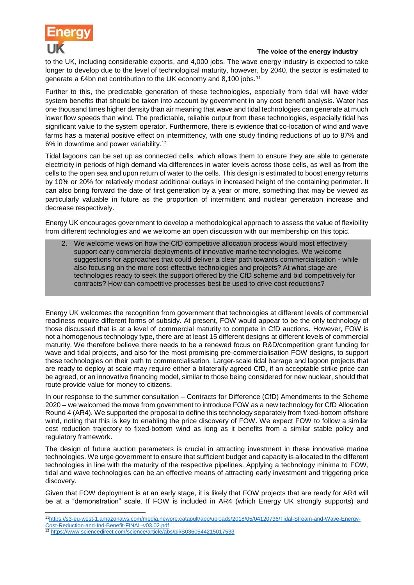

to the UK, including considerable exports, and 4,000 jobs. The wave energy industry is expected to take longer to develop due to the level of technological maturity, however, by 2040, the sector is estimated to generate a £4bn net contribution to the UK economy and 8,100 jobs.<sup>11</sup>

Further to this, the predictable generation of these technologies, especially from tidal will have wider system benefits that should be taken into account by government in any cost benefit analysis. Water has one thousand times higher density than air meaning that wave and tidal technologies can generate at much lower flow speeds than wind. The predictable, reliable output from these technologies, especially tidal has significant value to the system operator. Furthermore, there is evidence that co-location of wind and wave farms has a material positive effect on intermittency, with one study finding reductions of up to 87% and 6% in downtime and power variability.<sup>12</sup>

Tidal lagoons can be set up as connected cells, which allows them to ensure they are able to generate electricity in periods of high demand via differences in water levels across those cells, as well as from the cells to the open sea and upon return of water to the cells. This design is estimated to boost energy returns by 10% or 20% for relatively modest additional outlays in increased height of the containing perimeter. It can also bring forward the date of first generation by a year or more, something that may be viewed as particularly valuable in future as the proportion of intermittent and nuclear generation increase and decrease respectively.

Energy UK encourages government to develop a methodological approach to assess the value of flexibility from different technologies and we welcome an open discussion with our membership on this topic.

2. We welcome views on how the CfD competitive allocation process would most effectively support early commercial deployments of innovative marine technologies. We welcome suggestions for approaches that could deliver a clear path towards commercialisation - while also focusing on the more cost-effective technologies and projects? At what stage are technologies ready to seek the support offered by the CfD scheme and bid competitively for contracts? How can competitive processes best be used to drive cost reductions?

Energy UK welcomes the recognition from government that technologies at different levels of commercial readiness require different forms of subsidy. At present, FOW would appear to be the only technology of those discussed that is at a level of commercial maturity to compete in CfD auctions. However, FOW is not a homogenous technology type, there are at least 15 different designs at different levels of commercial maturity. We therefore believe there needs to be a renewed focus on R&D/competition grant funding for wave and tidal projects, and also for the most promising pre-commercialisation FOW designs, to support these technologies on their path to commercialisation. Larger-scale tidal barrage and lagoon projects that are ready to deploy at scale may require either a bilaterally agreed CfD, if an acceptable strike price can be agreed, or an innovative financing model, similar to those being considered for new nuclear, should that route provide value for money to citizens.

In our response to the summer consultation – Contracts for Difference (CfD) Amendments to the Scheme 2020 – we welcomed the move from government to introduce FOW as a new technology for CfD Allocation Round 4 (AR4). We supported the proposal to define this technology separately from fixed-bottom offshore wind, noting that this is key to enabling the price discovery of FOW. We expect FOW to follow a similar cost reduction trajectory to fixed-bottom wind as long as it benefits from a similar stable policy and regulatory framework.

The design of future auction parameters is crucial in attracting investment in these innovative marine technologies. We urge government to ensure that sufficient budget and capacity is allocated to the different technologies in line with the maturity of the respective pipelines. Applying a technology minima to FOW, tidal and wave technologies can be an effective means of attracting early investment and triggering price discovery.

Given that FOW deployment is at an early stage, it is likely that FOW projects that are ready for AR4 will be at a "demonstration" scale. If FOW is included in AR4 (which Energy UK strongly supports) and

l 11[https://s3-eu-west-1.amazonaws.com/media.newore.catapult/app/uploads/2018/05/04120736/Tidal-Stream-and-Wave-Energy-](https://s3-eu-west-1.amazonaws.com/media.newore.catapult/app/uploads/2018/05/04120736/Tidal-Stream-and-Wave-Energy-Cost-Reduction-and-Ind-Benefit-FINAL-v03.02.pdf)[Cost-Reduction-and-Ind-Benefit-FINAL-v03.02.pdf](https://s3-eu-west-1.amazonaws.com/media.newore.catapult/app/uploads/2018/05/04120736/Tidal-Stream-and-Wave-Energy-Cost-Reduction-and-Ind-Benefit-FINAL-v03.02.pdf)

<sup>12</sup> <https://www.sciencedirect.com/science/article/abs/pii/S0360544215017533>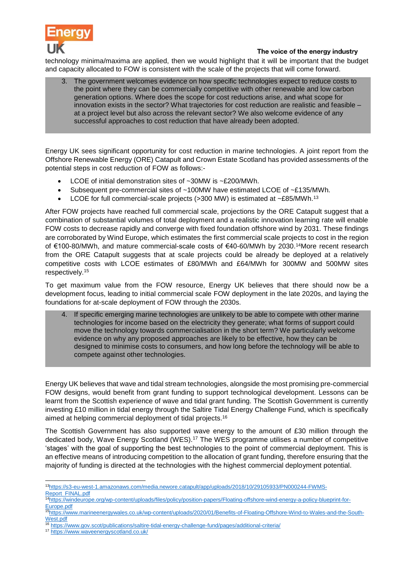

technology minima/maxima are applied, then we would highlight that it will be important that the budget and capacity allocated to FOW is consistent with the scale of the projects that will come forward.

3. The government welcomes evidence on how specific technologies expect to reduce costs to the point where they can be commercially competitive with other renewable and low carbon generation options. Where does the scope for cost reductions arise, and what scope for innovation exists in the sector? What trajectories for cost reduction are realistic and feasible – at a project level but also across the relevant sector? We also welcome evidence of any successful approaches to cost reduction that have already been adopted.

Energy UK sees significant opportunity for cost reduction in marine technologies. A joint report from the Offshore Renewable Energy (ORE) Catapult and Crown Estate Scotland has provided assessments of the potential steps in cost reduction of FOW as follows:-

- LCOE of initial demonstration sites of ~30MW is ~£200/MWh.
- Subsequent pre-commercial sites of ~100MW have estimated LCOE of ~£135/MWh.
- LCOE for full commercial-scale projects ( $>300$  MW) is estimated at  $\sim$ £85/MWh.<sup>13</sup>

After FOW projects have reached full commercial scale, projections by the ORE Catapult suggest that a combination of substantial volumes of total deployment and a realistic innovation learning rate will enable FOW costs to decrease rapidly and converge with fixed foundation offshore wind by 2031. These findings are corroborated by Wind Europe, which estimates the first commercial scale projects to cost in the region of €100-80/MWh, and mature commercial-scale costs of €40-60/MWh by 2030.<sup>14</sup>More recent research from the ORE Catapult suggests that at scale projects could be already be deployed at a relatively competitive costs with LCOE estimates of £80/MWh and £64/MWh for 300MW and 500MW sites respectively.<sup>15</sup>

To get maximum value from the FOW resource, Energy UK believes that there should now be a development focus, leading to initial commercial scale FOW deployment in the late 2020s, and laying the foundations for at-scale deployment of FOW through the 2030s.

4. If specific emerging marine technologies are unlikely to be able to compete with other marine technologies for income based on the electricity they generate; what forms of support could move the technology towards commercialisation in the short term? We particularly welcome evidence on why any proposed approaches are likely to be effective, how they can be designed to minimise costs to consumers, and how long before the technology will be able to compete against other technologies.

Energy UK believes that wave and tidal stream technologies, alongside the most promising pre-commercial FOW designs, would benefit from grant funding to support technological development. Lessons can be learnt from the Scottish experience of wave and tidal grant funding. The Scottish Government is currently investing £10 million in tidal energy through the Saltire Tidal Energy Challenge Fund, which is specifically aimed at helping commercial deployment of tidal projects.<sup>16</sup>

The Scottish Government has also supported wave energy to the amount of £30 million through the dedicated body, Wave Energy Scotland (WES).<sup>17</sup> The WES programme utilises a number of competitive 'stages' with the goal of supporting the best technologies to the point of commercial deployment. This is an effective means of introducing competition to the allocation of grant funding, therefore ensuring that the majority of funding is directed at the technologies with the highest commercial deployment potential.

l 13[https://s3-eu-west-1.amazonaws.com/media.newore.catapult/app/uploads/2018/10/29105933/PN000244-FWMS-](https://s3-eu-west-1.amazonaws.com/media.newore.catapult/app/uploads/2018/10/29105933/PN000244-FWMS-Report_FINAL.pdf)[Report\\_FINAL.pdf](https://s3-eu-west-1.amazonaws.com/media.newore.catapult/app/uploads/2018/10/29105933/PN000244-FWMS-Report_FINAL.pdf)

<sup>14</sup>[https://windeurope.org/wp-content/uploads/files/policy/position-papers/Floating-offshore-wind-energy-a-policy-blueprint-for-](https://windeurope.org/wp-content/uploads/files/policy/position-papers/Floating-offshore-wind-energy-a-policy-blueprint-for-Europe.pdf)[Europe.pdf](https://windeurope.org/wp-content/uploads/files/policy/position-papers/Floating-offshore-wind-energy-a-policy-blueprint-for-Europe.pdf)

<sup>15</sup>[https://www.marineenergywales.co.uk/wp-content/uploads/2020/01/Benefits-of-Floating-Offshore-Wind-to-Wales-and-the-South-](https://www.marineenergywales.co.uk/wp-content/uploads/2020/01/Benefits-of-Floating-Offshore-Wind-to-Wales-and-the-South-West.pdf)[West.pdf](https://www.marineenergywales.co.uk/wp-content/uploads/2020/01/Benefits-of-Floating-Offshore-Wind-to-Wales-and-the-South-West.pdf)

<sup>16</sup> <https://www.gov.scot/publications/saltire-tidal-energy-challenge-fund/pages/additional-criteria/>

<sup>17</sup> <https://www.waveenergyscotland.co.uk/>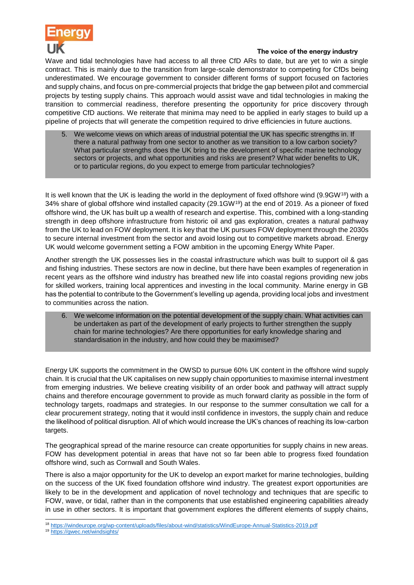

Wave and tidal technologies have had access to all three CfD ARs to date, but are yet to win a single contract. This is mainly due to the transition from large-scale demonstrator to competing for CfDs being underestimated. We encourage government to consider different forms of support focused on factories and supply chains, and focus on pre-commercial projects that bridge the gap between pilot and commercial projects by testing supply chains. This approach would assist wave and tidal technologies in making the transition to commercial readiness, therefore presenting the opportunity for price discovery through competitive CfD auctions. We reiterate that minima may need to be applied in early stages to build up a pipeline of projects that will generate the competition required to drive efficiencies in future auctions.

5. We welcome views on which areas of industrial potential the UK has specific strengths in. If there a natural pathway from one sector to another as we transition to a low carbon society? What particular strengths does the UK bring to the development of specific marine technology sectors or projects, and what opportunities and risks are present? What wider benefits to UK, or to particular regions, do you expect to emerge from particular technologies?

It is well known that the UK is leading the world in the deployment of fixed offshore wind (9.9GW<sup>18</sup>) with a 34% share of global offshore wind installed capacity (29.1GW<sup>19</sup>) at the end of 2019. As a pioneer of fixed offshore wind, the UK has built up a wealth of research and expertise. This, combined with a long-standing strength in deep offshore infrastructure from historic oil and gas exploration, creates a natural pathway from the UK to lead on FOW deployment. It is key that the UK pursues FOW deployment through the 2030s to secure internal investment from the sector and avoid losing out to competitive markets abroad. Energy UK would welcome government setting a FOW ambition in the upcoming Energy White Paper.

Another strength the UK possesses lies in the coastal infrastructure which was built to support oil & gas and fishing industries. These sectors are now in decline, but there have been examples of regeneration in recent years as the offshore wind industry has breathed new life into coastal regions providing new jobs for skilled workers, training local apprentices and investing in the local community. Marine energy in GB has the potential to contribute to the Government's levelling up agenda, providing local jobs and investment to communities across the nation.

6. We welcome information on the potential development of the supply chain. What activities can be undertaken as part of the development of early projects to further strengthen the supply chain for marine technologies? Are there opportunities for early knowledge sharing and standardisation in the industry, and how could they be maximised?

Energy UK supports the commitment in the OWSD to pursue 60% UK content in the offshore wind supply chain. It is crucial that the UK capitalises on new supply chain opportunities to maximise internal investment from emerging industries. We believe creating visibility of an order book and pathway will attract supply chains and therefore encourage government to provide as much forward clarity as possible in the form of technology targets, roadmaps and strategies. In our response to the summer consultation we call for a clear procurement strategy, noting that it would instil confidence in investors, the supply chain and reduce the likelihood of political disruption. All of which would increase the UK's chances of reaching its low-carbon targets.

The geographical spread of the marine resource can create opportunities for supply chains in new areas. FOW has development potential in areas that have not so far been able to progress fixed foundation offshore wind, such as Cornwall and South Wales.

There is also a major opportunity for the UK to develop an export market for marine technologies, building on the success of the UK fixed foundation offshore wind industry. The greatest export opportunities are likely to be in the development and application of novel technology and techniques that are specific to FOW, wave, or tidal, rather than in the components that use established engineering capabilities already in use in other sectors. It is important that government explores the different elements of supply chains,

l <sup>18</sup> <https://windeurope.org/wp-content/uploads/files/about-wind/statistics/WindEurope-Annual-Statistics-2019.pdf>

<sup>19</sup> <https://gwec.net/windsights/>